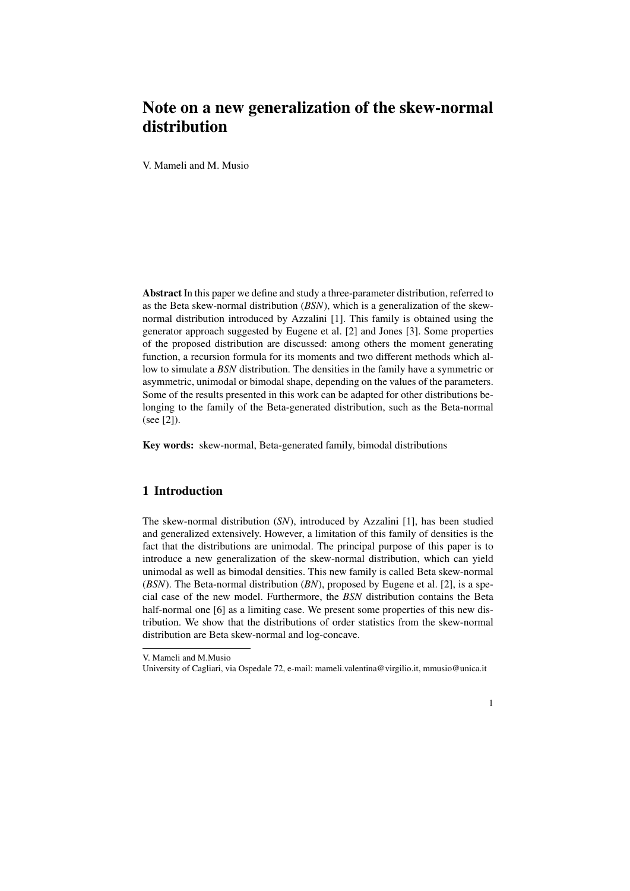## Note on a new generalization of the skew-normal distribution

V. Mameli and M. Musio

Abstract In this paper we define and study a three-parameter distribution, referred to as the Beta skew-normal distribution (*BSN*), which is a generalization of the skewnormal distribution introduced by Azzalini [1]. This family is obtained using the generator approach suggested by Eugene et al. [2] and Jones [3]. Some properties of the proposed distribution are discussed: among others the moment generating function, a recursion formula for its moments and two different methods which allow to simulate a *BSN* distribution. The densities in the family have a symmetric or asymmetric, unimodal or bimodal shape, depending on the values of the parameters. Some of the results presented in this work can be adapted for other distributions belonging to the family of the Beta-generated distribution, such as the Beta-normal (see [2]).

Key words: skew-normal, Beta-generated family, bimodal distributions

## 1 Introduction

The skew-normal distribution (*SN*), introduced by Azzalini [1], has been studied and generalized extensively. However, a limitation of this family of densities is the fact that the distributions are unimodal. The principal purpose of this paper is to introduce a new generalization of the skew-normal distribution, which can yield unimodal as well as bimodal densities. This new family is called Beta skew-normal (*BSN*). The Beta-normal distribution (*BN*), proposed by Eugene et al. [2], is a special case of the new model. Furthermore, the *BSN* distribution contains the Beta half-normal one [6] as a limiting case. We present some properties of this new distribution. We show that the distributions of order statistics from the skew-normal distribution are Beta skew-normal and log-concave.

1

V. Mameli and M.Musio

University of Cagliari, via Ospedale 72, e-mail: mameli.valentina@virgilio.it, mmusio@unica.it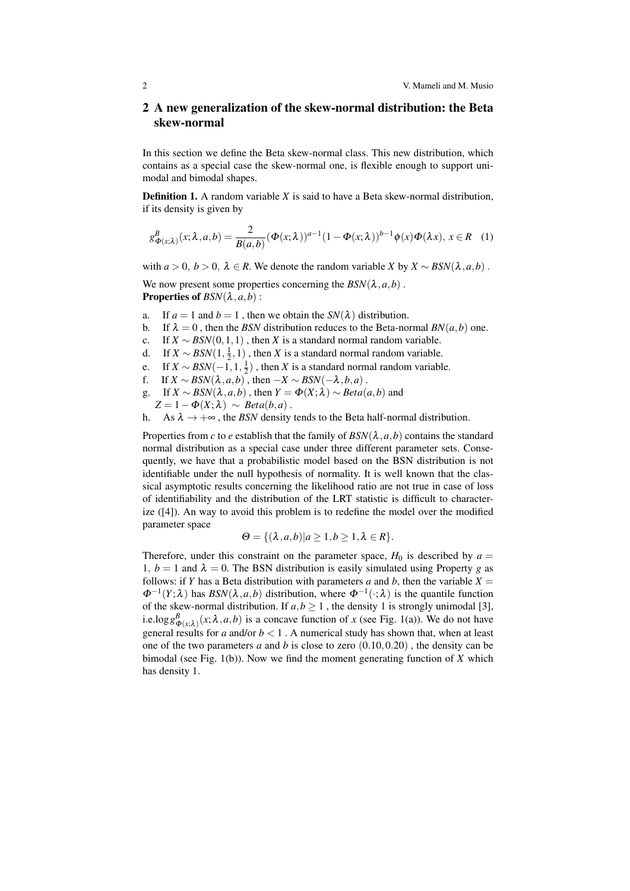## 2 A new generalization of the skew-normal distribution: the Beta skew-normal

In this section we define the Beta skew-normal class. This new distribution, which contains as a special case the skew-normal one, is flexible enough to support unimodal and bimodal shapes.

Definition 1. A random variable *X* is said to have a Beta skew-normal distribution, if its density is given by

$$
g_{\Phi(x;\lambda)}^B(x;\lambda,a,b) = \frac{2}{B(a,b)} (\Phi(x;\lambda))^{a-1} (1 - \Phi(x;\lambda))^{b-1} \phi(x) \Phi(\lambda x), x \in R \quad (1)
$$

with  $a > 0$ ,  $b > 0$ ,  $\lambda \in R$ . We denote the random variable *X* by  $X \sim BSN(\lambda, a, b)$ .

We now present some properties concerning the  $BSN(\lambda, a, b)$ . **Properties of**  $BSN(\lambda, a, b)$ :

- a. If  $a = 1$  and  $b = 1$ , then we obtain the  $SN(\lambda)$  distribution.
- b. If  $\lambda = 0$ , then the *BSN* distribution reduces to the Beta-normal *BN*(*a*,*b*) one.
- c. If  $X \sim BSN(0,1,1)$ , then *X* is a standard normal random variable.
- d. If  $X \sim BSN(1, \frac{1}{2}, 1)$ , then *X* is a standard normal random variable.
- e. If  $X \sim \text{BSN}(-1, 1, \frac{1}{2})$ , then *X* is a standard normal random variable.
- f. If  $X \sim \text{BSN}(\lambda, a, b)$ , then  $-X \sim \text{BSN}(-\lambda, b, a)$ .
- g. If  $X \sim BSN(\lambda, a, b)$ , then  $Y = \Phi(X; \lambda) \sim Beta(a, b)$  and
- $Z = 1 \Phi(X; \lambda) \sim Beta(b, a)$ .
- h. As  $\lambda \rightarrow +\infty$ , the *BSN* density tends to the Beta half-normal distribution.

Properties from *c* to *e* establish that the family of  $BSN(\lambda, a, b)$  contains the standard normal distribution as a special case under three different parameter sets. Consequently, we have that a probabilistic model based on the BSN distribution is not identifiable under the null hypothesis of normality. It is well known that the classical asymptotic results concerning the likelihood ratio are not true in case of loss of identifiability and the distribution of the LRT statistic is difficult to characterize ([4]). An way to avoid this problem is to redefine the model over the modified parameter space

$$
\Theta = \{ (\lambda, a, b) | a \ge 1, b \ge 1, \lambda \in R \}.
$$

Therefore, under this constraint on the parameter space,  $H_0$  is described by  $a =$ 1,  $b = 1$  and  $\lambda = 0$ . The BSN distribution is easily simulated using Property *g* as follows: if *Y* has a Beta distribution with parameters *a* and *b*, then the variable  $X =$  $\Phi^{-1}(Y;\lambda)$  has  $BSN(\lambda,a,b)$  distribution, where  $\Phi^{-1}(\cdot;\lambda)$  is the quantile function of the skew-normal distribution. If  $a, b \ge 1$ , the density 1 is strongly unimodal [3], i.e.log  $g_{\Phi(x;\lambda)}^B(x;\lambda,a,b)$  is a concave function of *x* (see Fig. 1(a)). We do not have general results for *a* and/or  $b < 1$ . A numerical study has shown that, when at least one of the two parameters *a* and *b* is close to zero (0*.*10*,*0*.*20) , the density can be bimodal (see Fig. 1(b)). Now we find the moment generating function of *X* which has density 1.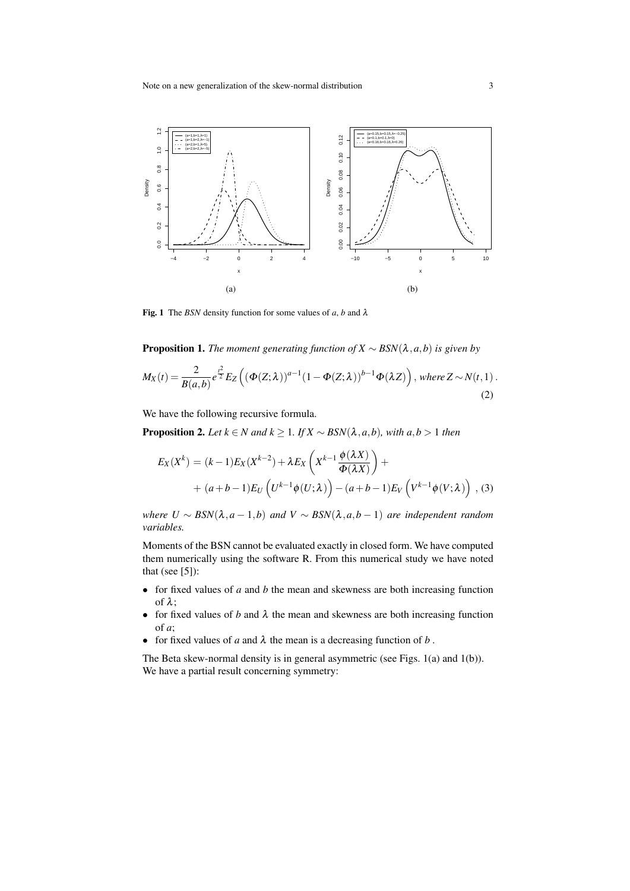

Fig. 1 The *BSN* density function for some values of *a*, *b* and  $\lambda$ 

**Proposition 1.** *The moment generating function of*  $X \sim BSN(\lambda, a, b)$  *is given by* 

$$
M_X(t) = \frac{2}{B(a,b)} e^{\frac{t^2}{2}} E_Z \left( (\Phi(Z;\lambda))^{a-1} (1 - \Phi(Z;\lambda))^{b-1} \Phi(\lambda Z) \right), \text{ where } Z \sim N(t,1).
$$
\n(2)

We have the following recursive formula.

**Proposition 2.** *Let*  $k \in N$  *and*  $k \ge 1$ *. If*  $X \sim BSN(\lambda, a, b)$ *, with*  $a, b > 1$  *then* 

$$
E_X(X^k) = (k-1)E_X(X^{k-2}) + \lambda E_X\left(X^{k-1}\frac{\phi(\lambda X)}{\Phi(\lambda X)}\right) +
$$
  
+  $(a+b-1)E_U\left(U^{k-1}\phi(U;\lambda)\right) - (a+b-1)E_V\left(V^{k-1}\phi(V;\lambda)\right)$ , (3)

*where U*  $\sim$  *BSN*( $\lambda$ , $a$  − 1, $b$ ) *and*  $V$   $\sim$  *BSN*( $\lambda$ , $a$ , $b$  − 1) *are independent random variables.*

Moments of the BSN cannot be evaluated exactly in closed form. We have computed them numerically using the software R. From this numerical study we have noted that (see  $[5]$ ):

- *•* for fixed values of *a* and *b* the mean and skewness are both increasing function of  $\lambda$ :
- for fixed values of *b* and  $\lambda$  the mean and skewness are both increasing function of *a*;
- for fixed values of *a* and  $\lambda$  the mean is a decreasing function of *b*.

The Beta skew-normal density is in general asymmetric (see Figs. 1(a) and 1(b)). We have a partial result concerning symmetry: